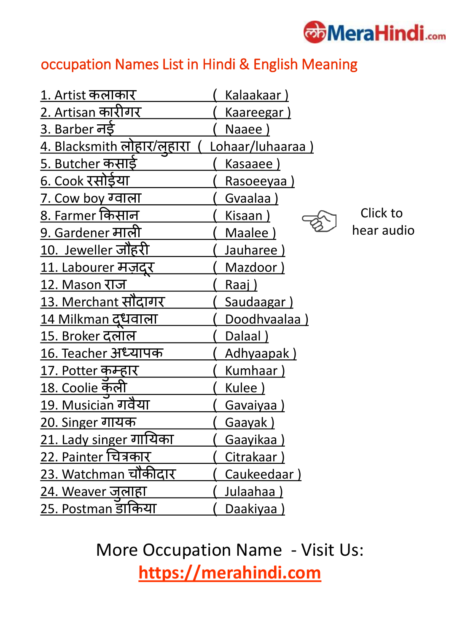

#### occupation Names List in Hindi & English Meaning

| 1. Artist कलाकार             | Kalaakaar)         |            |
|------------------------------|--------------------|------------|
| <u>2. Artisan कारीगर</u>     | Kaareegar)         |            |
| 3. Barber नई                 | Naaee)             |            |
| 4. Blacksmith लोहार/लुहारा   | Lohaar/luhaaraa)   |            |
| <u>5. Butcher कसाई</u>       | Kasaaee)           |            |
| <u> ६. Cook रसोईया</u>       | <u>Rasoeeyaa )</u> |            |
| 7. Cow boy ग्वाला            | Gvaalaa)           |            |
| <u>8. Farmer कि</u> सान      | Kisaan)            | Click to   |
| <u>9. Gardener माली</u>      | Maalee)            | hear audio |
| 10. Jeweller जौहरी           | Jauharee)          |            |
| <u> 11. Labourer मज़दर</u>   | Mazdoor)           |            |
| 12. Mason राज                | Raaj)              |            |
| <u>13. Merchant सौंदागर</u>  | <b>Saudaagar)</b>  |            |
| <u> 14 Milkman दुधवाला</u>   | Doodhvaalaa)       |            |
| <u>15. Broker दलाल</u>       | Dalaal)            |            |
| <u> 16. Teacher अध्यापक</u>  | Adhyaapak)         |            |
| <u> 17. Potter कम्हार</u>    | Kumhaar)           |            |
| <u> 18. Coolie कॅली</u>      | Kulee)             |            |
| 19. Musician गर्वैया         | Gavaiyaa)          |            |
| <u> 20. Singer गायक</u>      | <b>Gaayak</b> )    |            |
| 21. Lady singer गायिका       | Gaayikaa)          |            |
| <u>22. Painter चित्रकार</u>  | Citrakaar)         |            |
| <u>23. Watchman चौ</u> कीदार | Caukeedaar)        |            |
| <u> 24. Weaver जुलाहा</u>    | Julaahaa)          |            |
| 25. Postman डार्किया         | Daakiyaa)          |            |

More Occupation Name - Visit Us: **https://merahindi.com**